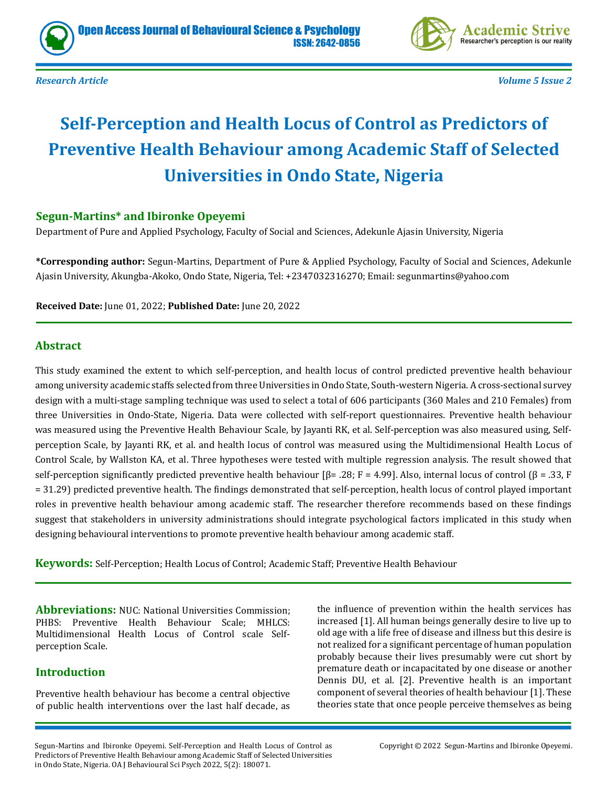



*Research Article Volume 5 Issue 2*

# **Self-Perception and Health Locus of Control as Predictors of Preventive Health Behaviour among Academic Staff of Selected Universities in Ondo State, Nigeria**

## **Segun-Martins\* and Ibironke Opeyemi**

Department of Pure and Applied Psychology, Faculty of Social and Sciences, Adekunle Ajasin University, Nigeria

**\*Corresponding author:** Segun-Martins, Department of Pure & Applied Psychology, Faculty of Social and Sciences, Adekunle Ajasin University, Akungba-Akoko, Ondo State, Nigeria, Tel: +2347032316270; Email: segunmartins@yahoo.com

**Received Date:** June 01, 2022; **Published Date:** June 20, 2022

#### **Abstract**

This study examined the extent to which self-perception, and health locus of control predicted preventive health behaviour among university academic staffs selected from three Universities in Ondo State, South-western Nigeria. A cross-sectional survey design with a multi-stage sampling technique was used to select a total of 606 participants (360 Males and 210 Females) from three Universities in Ondo-State, Nigeria. Data were collected with self-report questionnaires. Preventive health behaviour was measured using the Preventive Health Behaviour Scale, by Jayanti RK, et al. Self-perception was also measured using, Selfperception Scale, by Jayanti RK, et al. and health locus of control was measured using the Multidimensional Health Locus of Control Scale, by Wallston KA, et al. Three hypotheses were tested with multiple regression analysis. The result showed that self-perception significantly predicted preventive health behaviour [β= .28; F = 4.99]. Also, internal locus of control (β = .33, F = 31.29) predicted preventive health. The findings demonstrated that self-perception, health locus of control played important roles in preventive health behaviour among academic staff. The researcher therefore recommends based on these findings suggest that stakeholders in university administrations should integrate psychological factors implicated in this study when designing behavioural interventions to promote preventive health behaviour among academic staff.

**Keywords:** Self-Perception; Health Locus of Control; Academic Staff; Preventive Health Behaviour

**Abbreviations:** NUC: National Universities Commission; PHBS: Preventive Health Behaviour Scale; MHLCS: Multidimensional Health Locus of Control scale Selfperception Scale.

### **Introduction**

Preventive health behaviour has become a central objective of public health interventions over the last half decade, as the influence of prevention within the health services has increased [1]. All human beings generally desire to live up to old age with a life free of disease and illness but this desire is not realized for a significant percentage of human population probably because their lives presumably were cut short by premature death or incapacitated by one disease or another Dennis DU, et al. [2]. Preventive health is an important component of several theories of health behaviour [1]. These theories state that once people perceive themselves as being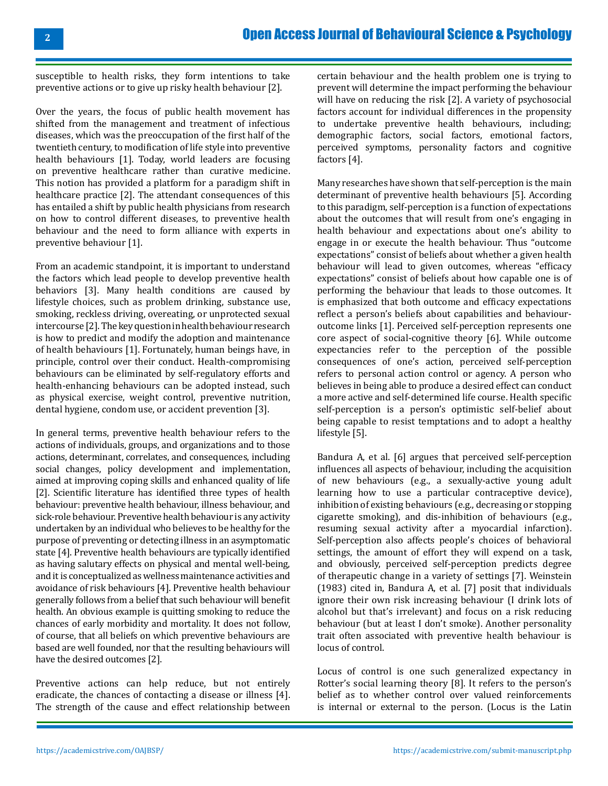susceptible to health risks, they form intentions to take preventive actions or to give up risky health behaviour [2].

Over the years, the focus of public health movement has shifted from the management and treatment of infectious diseases, which was the preoccupation of the first half of the twentieth century, to modification of life style into preventive health behaviours [1]. Today, world leaders are focusing on preventive healthcare rather than curative medicine. This notion has provided a platform for a paradigm shift in healthcare practice [2]. The attendant consequences of this has entailed a shift by public health physicians from research on how to control different diseases, to preventive health behaviour and the need to form alliance with experts in preventive behaviour [1].

From an academic standpoint, it is important to understand the factors which lead people to develop preventive health behaviors [3]. Many health conditions are caused by lifestyle choices, such as problem drinking, substance use, smoking, reckless driving, overeating, or unprotected sexual intercourse [2]. The key question in health behaviour research is how to predict and modify the adoption and maintenance of health behaviours [1]. Fortunately, human beings have, in principle, control over their conduct. Health-compromising behaviours can be eliminated by self-regulatory efforts and health-enhancing behaviours can be adopted instead, such as physical exercise, weight control, preventive nutrition, dental hygiene, condom use, or accident prevention [3].

In general terms, preventive health behaviour refers to the actions of individuals, groups, and organizations and to those actions, determinant, correlates, and consequences, including social changes, policy development and implementation, aimed at improving coping skills and enhanced quality of life [2]. Scientific literature has identified three types of health behaviour: preventive health behaviour, illness behaviour, and sick-role behaviour. Preventive health behaviour is any activity undertaken by an individual who believes to be healthy for the purpose of preventing or detecting illness in an asymptomatic state [4]. Preventive health behaviours are typically identified as having salutary effects on physical and mental well-being, and it is conceptualized as wellness maintenance activities and avoidance of risk behaviours [4]. Preventive health behaviour generally follows from a belief that such behaviour will benefit health. An obvious example is quitting smoking to reduce the chances of early morbidity and mortality. It does not follow, of course, that all beliefs on which preventive behaviours are based are well founded, nor that the resulting behaviours will have the desired outcomes [2].

Preventive actions can help reduce, but not entirely eradicate, the chances of contacting a disease or illness [4]. The strength of the cause and effect relationship between

certain behaviour and the health problem one is trying to prevent will determine the impact performing the behaviour will have on reducing the risk [2]. A variety of psychosocial factors account for individual differences in the propensity to undertake preventive health behaviours, including; demographic factors, social factors, emotional factors, perceived symptoms, personality factors and cognitive factors [4].

Many researches have shown that self-perception is the main determinant of preventive health behaviours [5]. According to this paradigm, self-perception is a function of expectations about the outcomes that will result from one's engaging in health behaviour and expectations about one's ability to engage in or execute the health behaviour. Thus "outcome expectations" consist of beliefs about whether a given health behaviour will lead to given outcomes, whereas "efficacy expectations" consist of beliefs about how capable one is of performing the behaviour that leads to those outcomes. It is emphasized that both outcome and efficacy expectations reflect a person's beliefs about capabilities and behaviouroutcome links [1]. Perceived self-perception represents one core aspect of social-cognitive theory [6]. While outcome expectancies refer to the perception of the possible consequences of one's action, perceived self-perception refers to personal action control or agency. A person who believes in being able to produce a desired effect can conduct a more active and self-determined life course. Health specific self-perception is a person's optimistic self-belief about being capable to resist temptations and to adopt a healthy lifestyle [5].

Bandura A, et al. [6] argues that perceived self-perception influences all aspects of behaviour, including the acquisition of new behaviours (e.g., a sexually-active young adult learning how to use a particular contraceptive device), inhibition of existing behaviours (e.g., decreasing or stopping cigarette smoking), and dis-inhibition of behaviours (e.g., resuming sexual activity after a myocardial infarction). Self-perception also affects people's choices of behavioral settings, the amount of effort they will expend on a task, and obviously, perceived self-perception predicts degree of therapeutic change in a variety of settings [7]. Weinstein (1983) cited in, Bandura A, et al. [7] posit that individuals ignore their own risk increasing behaviour (I drink lots of alcohol but that's irrelevant) and focus on a risk reducing behaviour (but at least I don't smoke). Another personality trait often associated with preventive health behaviour is locus of control.

Locus of control is one such generalized expectancy in Rotter's social learning theory [8]. It refers to the person's belief as to whether control over valued reinforcements is internal or external to the person. (Locus is the Latin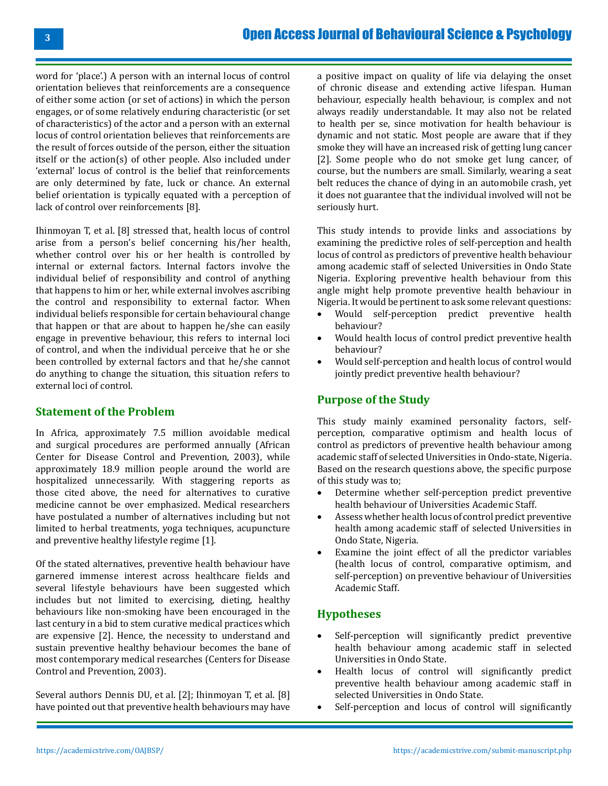# [Open Access Journal of Behavioural Science & Psychology](https://academicstrive.com/OAJBSP/)

word for 'place'.) A person with an internal locus of control orientation believes that reinforcements are a consequence of either some action (or set of actions) in which the person engages, or of some relatively enduring characteristic (or set of characteristics) of the actor and a person with an external locus of control orientation believes that reinforcements are the result of forces outside of the person, either the situation itself or the action(s) of other people. Also included under 'external' locus of control is the belief that reinforcements are only determined by fate, luck or chance. An external belief orientation is typically equated with a perception of lack of control over reinforcements [8].

Ihinmoyan T, et al. [8] stressed that, health locus of control arise from a person's belief concerning his/her health, whether control over his or her health is controlled by internal or external factors. Internal factors involve the individual belief of responsibility and control of anything that happens to him or her, while external involves ascribing the control and responsibility to external factor. When individual beliefs responsible for certain behavioural change that happen or that are about to happen he/she can easily engage in preventive behaviour, this refers to internal loci of control, and when the individual perceive that he or she been controlled by external factors and that he/she cannot do anything to change the situation, this situation refers to external loci of control.

#### **Statement of the Problem**

In Africa, approximately 7.5 million avoidable medical and surgical procedures are performed annually (African Center for Disease Control and Prevention, 2003), while approximately 18.9 million people around the world are hospitalized unnecessarily. With staggering reports as those cited above, the need for alternatives to curative medicine cannot be over emphasized. Medical researchers have postulated a number of alternatives including but not limited to herbal treatments, yoga techniques, acupuncture and preventive healthy lifestyle regime [1].

Of the stated alternatives, preventive health behaviour have garnered immense interest across healthcare fields and several lifestyle behaviours have been suggested which includes but not limited to exercising, dieting, healthy behaviours like non-smoking have been encouraged in the last century in a bid to stem curative medical practices which are expensive [2]. Hence, the necessity to understand and sustain preventive healthy behaviour becomes the bane of most contemporary medical researches (Centers for Disease Control and Prevention, 2003).

Several authors Dennis DU, et al. [2]; Ihinmoyan T, et al. [8] have pointed out that preventive health behaviours may have

a positive impact on quality of life via delaying the onset of chronic disease and extending active lifespan. Human behaviour, especially health behaviour, is complex and not always readily understandable. It may also not be related to health per se, since motivation for health behaviour is dynamic and not static. Most people are aware that if they smoke they will have an increased risk of getting lung cancer [2]. Some people who do not smoke get lung cancer, of course, but the numbers are small. Similarly, wearing a seat belt reduces the chance of dying in an automobile crash, yet it does not guarantee that the individual involved will not be seriously hurt.

This study intends to provide links and associations by examining the predictive roles of self-perception and health locus of control as predictors of preventive health behaviour among academic staff of selected Universities in Ondo State Nigeria. Exploring preventive health behaviour from this angle might help promote preventive health behaviour in Nigeria. It would be pertinent to ask some relevant questions:<br>• Would self-perception predict preventive health

- Would self-perception predict preventive health behaviour?
- • Would health locus of control predict preventive health behaviour?
- Would self-perception and health locus of control would jointly predict preventive health behaviour?

#### **Purpose of the Study**

This study mainly examined personality factors, selfperception, comparative optimism and health locus of control as predictors of preventive health behaviour among academic staff of selected Universities in Ondo-state, Nigeria. Based on the research questions above, the specific purpose of this study was to;<br>• Determine when

- Determine whether self-perception predict preventive health behaviour of Universities Academic Staff.
- • Assess whether health locus of control predict preventive health among academic staff of selected Universities in Ondo State, Nigeria.
- • Examine the joint effect of all the predictor variables (health locus of control, comparative optimism, and self-perception) on preventive behaviour of Universities Academic Staff.

#### **Hypotheses**

- • Self-perception will significantly predict preventive health behaviour among academic staff in selected Universities in Ondo State.
- • Health locus of control will significantly predict preventive health behaviour among academic staff in selected Universities in Ondo State.
- Self-perception and locus of control will significantly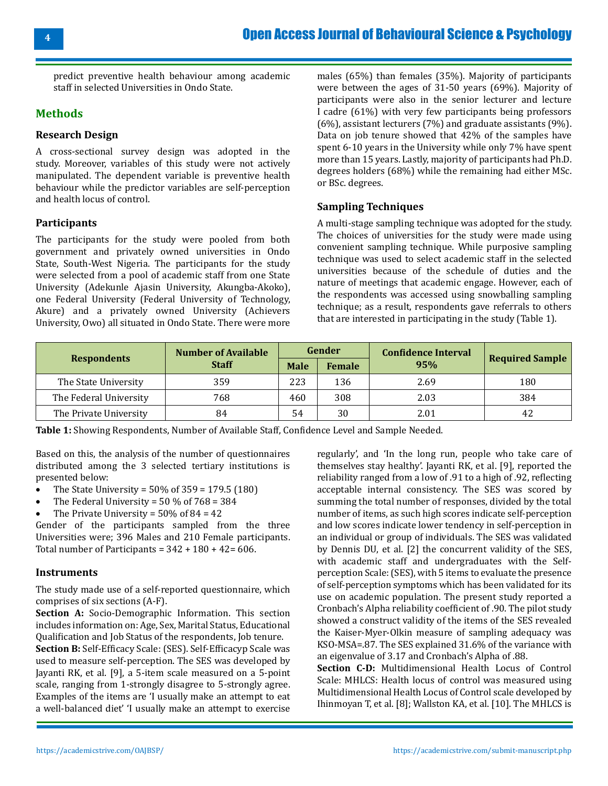predict preventive health behaviour among academic staff in selected Universities in Ondo State.

## **Methods**

#### **Research Design**

A cross-sectional survey design was adopted in the study. Moreover, variables of this study were not actively manipulated. The dependent variable is preventive health behaviour while the predictor variables are self-perception and health locus of control.

#### **Participants**

The participants for the study were pooled from both government and privately owned universities in Ondo State, South-West Nigeria. The participants for the study were selected from a pool of academic staff from one State University (Adekunle Ajasin University, Akungba-Akoko), one Federal University (Federal University of Technology, Akure) and a privately owned University (Achievers University, Owo) all situated in Ondo State. There were more

males (65%) than females (35%). Majority of participants were between the ages of 31-50 years (69%). Majority of participants were also in the senior lecturer and lecture I cadre (61%) with very few participants being professors (6%), assistant lecturers (7%) and graduate assistants (9%). Data on job tenure showed that 42% of the samples have spent 6-10 years in the University while only 7% have spent more than 15 years. Lastly, majority of participants had Ph.D. degrees holders (68%) while the remaining had either MSc. or BSc. degrees.

#### **Sampling Techniques**

A multi-stage sampling technique was adopted for the study. The choices of universities for the study were made using convenient sampling technique. While purposive sampling technique was used to select academic staff in the selected universities because of the schedule of duties and the nature of meetings that academic engage. However, each of the respondents was accessed using snowballing sampling technique; as a result, respondents gave referrals to others that are interested in participating in the study (Table 1).

| <b>Respondents</b>     | <b>Number of Available</b><br><b>Staff</b> | Gender      |               | <b>Confidence Interval</b> |                        |  |
|------------------------|--------------------------------------------|-------------|---------------|----------------------------|------------------------|--|
|                        |                                            | <b>Male</b> | <b>Female</b> | 95%                        | <b>Required Sample</b> |  |
| The State University   | 359                                        | 223         | 136           | 2.69                       | 180                    |  |
| The Federal University | 768                                        | 460         | 308           | 2.03                       | 384                    |  |
| The Private University | 84                                         | 54          | 30            | 2.01                       | 42                     |  |

**Table 1:** Showing Respondents, Number of Available Staff, Confidence Level and Sample Needed.

Based on this, the analysis of the number of questionnaires distributed among the 3 selected tertiary institutions is

- presented below:<br>• The State Univ The State University =  $50\%$  of  $359 = 179.5$  (180)
- The Federal University =  $50\%$  of  $768 = 384$
- The Private University =  $50\%$  of  $84 = 42$

Gender of the participants sampled from the three Universities were; 396 Males and 210 Female participants. Total number of Participants =  $342 + 180 + 42 = 606$ .

#### **Instruments**

The study made use of a self-reported questionnaire, which comprises of six sections (A-F).

**Section A:** Socio-Demographic Information. This section includes information on: Age, Sex, Marital Status, Educational Qualification and Job Status of the respondents, Job tenure.

**Section B:** Self-Efficacy Scale: (SES). Self-Efficacyp Scale was used to measure self-perception. The SES was developed by Jayanti RK, et al. [9], a 5-item scale measured on a 5-point scale, ranging from 1-strongly disagree to 5-strongly agree. Examples of the items are 'I usually make an attempt to eat a well-balanced diet' 'I usually make an attempt to exercise

regularly', and 'In the long run, people who take care of themselves stay healthy'. Jayanti RK, et al. [9], reported the reliability ranged from a low of .91 to a high of .92, reflecting acceptable internal consistency. The SES was scored by summing the total number of responses, divided by the total number of items, as such high scores indicate self-perception and low scores indicate lower tendency in self-perception in an individual or group of individuals. The SES was validated by Dennis DU, et al. [2] the concurrent validity of the SES, with academic staff and undergraduates with the Selfperception Scale: (SES), with 5 items to evaluate the presence of self-perception symptoms which has been validated for its use on academic population. The present study reported a Cronbach's Alpha reliability coefficient of .90. The pilot study showed a construct validity of the items of the SES revealed the Kaiser-Myer-Olkin measure of sampling adequacy was KSO-MSA=.87. The SES explained 31.6% of the variance with an eigenvalue of 3.17 and Cronbach's Alpha of .88.

**Section C-D:** Multidimensional Health Locus of Control Scale: MHLCS: Health locus of control was measured using Multidimensional Health Locus of Control scale developed by Ihinmoyan T, et al. [8]; Wallston KA, et al. [10]. The MHLCS is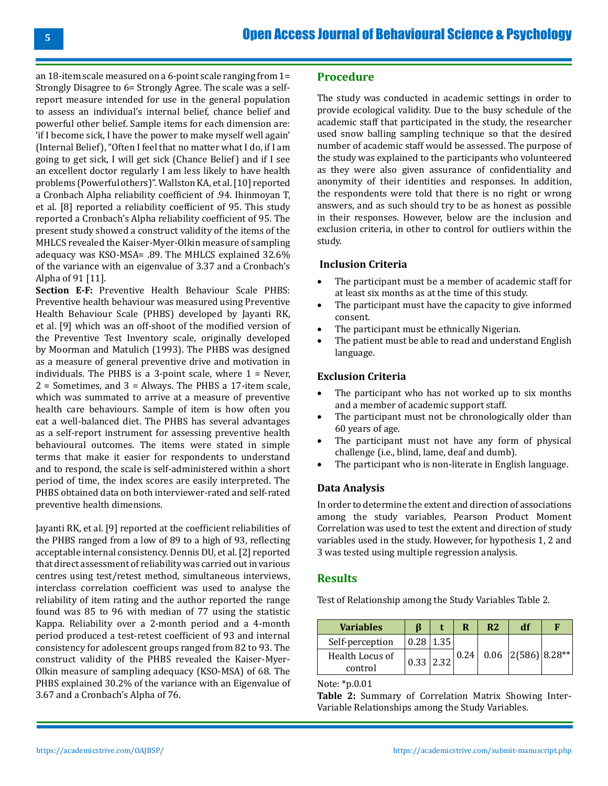an 18-item scale measured on a 6-point scale ranging from 1= Strongly Disagree to 6= Strongly Agree. The scale was a selfreport measure intended for use in the general population to assess an individual's internal belief, chance belief and powerful other belief. Sample items for each dimension are: 'if I become sick, I have the power to make myself well again' (Internal Belief), "Often I feel that no matter what I do, if I am going to get sick, I will get sick (Chance Belief) and if I see an excellent doctor regularly I am less likely to have health problems (Powerful others)". Wallston KA, et al. [10] reported a Cronbach Alpha reliability coefficient of .94. Ihinmoyan T, et al. [8] reported a reliability coefficient of 95. This study reported a Cronbach's Alpha reliability coefficient of 95. The present study showed a construct validity of the items of the MHLCS revealed the Kaiser-Myer-Olkin measure of sampling adequacy was KSO-MSA= .89. The MHLCS explained 32.6% of the variance with an eigenvalue of 3.37 and a Cronbach's Alpha of 91 [11].

**Section E-F:** Preventive Health Behaviour Scale PHBS: Preventive health behaviour was measured using Preventive Health Behaviour Scale (PHBS) developed by Jayanti RK, et al. [9] which was an off-shoot of the modified version of the Preventive Test Inventory scale, originally developed by Moorman and Matulich (1993). The PHBS was designed as a measure of general preventive drive and motivation in individuals. The PHBS is a 3-point scale, where 1 = Never,  $2 =$  Sometimes, and  $3 =$  Always. The PHBS a 17-item scale, which was summated to arrive at a measure of preventive health care behaviours. Sample of item is how often you eat a well-balanced diet. The PHBS has several advantages as a self-report instrument for assessing preventive health behavioural outcomes. The items were stated in simple terms that make it easier for respondents to understand and to respond, the scale is self-administered within a short period of time, the index scores are easily interpreted. The PHBS obtained data on both interviewer-rated and self-rated preventive health dimensions.

Jayanti RK, et al. [9] reported at the coefficient reliabilities of the PHBS ranged from a low of 89 to a high of 93, reflecting acceptable internal consistency. Dennis DU, et al. [2] reported that direct assessment of reliability was carried out in various centres using test/retest method, simultaneous interviews, interclass correlation coefficient was used to analyse the reliability of item rating and the author reported the range found was 85 to 96 with median of 77 using the statistic Kappa. Reliability over a 2-month period and a 4-month period produced a test-retest coefficient of 93 and internal consistency for adolescent groups ranged from 82 to 93. The construct validity of the PHBS revealed the Kaiser-Myer-Olkin measure of sampling adequacy (KSO-MSA) of 68. The PHBS explained 30.2% of the variance with an Eigenvalue of 3.67 and a Cronbach's Alpha of 76.

#### **Procedure**

The study was conducted in academic settings in order to provide ecological validity. Due to the busy schedule of the academic staff that participated in the study, the researcher used snow balling sampling technique so that the desired number of academic staff would be assessed. The purpose of the study was explained to the participants who volunteered as they were also given assurance of confidentiality and anonymity of their identities and responses. In addition, the respondents were told that there is no right or wrong answers, and as such should try to be as honest as possible in their responses. However, below are the inclusion and exclusion criteria, in other to control for outliers within the study.

#### **Inclusion Criteria**

- The participant must be a member of academic staff for at least six months as at the time of this study.
- The participant must have the capacity to give informed consent.
- The participant must be ethnically Nigerian.<br>• The patient must be able to read and underst
- The patient must be able to read and understand English language.

#### **Exclusion Criteria**

- The participant who has not worked up to six months and a member of academic support staff.
- The participant must not be chronologically older than 60 years of age.
- The participant must not have any form of physical challenge (i.e., blind, lame, deaf and dumb).
- The participant who is non-literate in English language.

#### **Data Analysis**

In order to determine the extent and direction of associations among the study variables, Pearson Product Moment Correlation was used to test the extent and direction of study variables used in the study. However, for hypothesis 1, 2 and 3 was tested using multiple regression analysis.

#### **Results**

Test of Relationship among the Study Variables Table 2.

| <b>Variables</b>           |               |               |      | R <sub>2</sub> | df                    |  |
|----------------------------|---------------|---------------|------|----------------|-----------------------|--|
| Self-perception            |               | $0.28$   1.35 | 0.24 |                | $0.06$  2(586) 8.28** |  |
| Health Locus of<br>control | $0.33$   2.32 |               |      |                |                       |  |

Note: \*p.0.01

**Table 2:** Summary of Correlation Matrix Showing Inter-Variable Relationships among the Study Variables.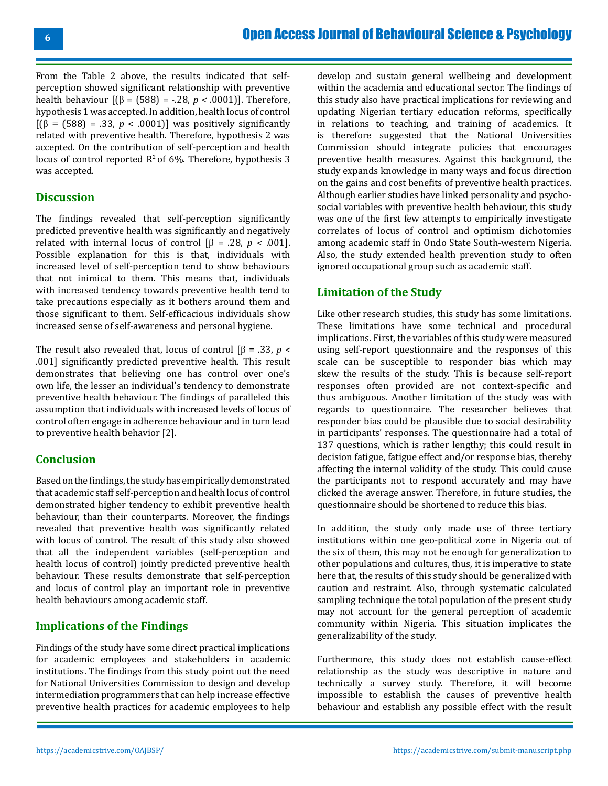From the Table 2 above, the results indicated that selfperception showed significant relationship with preventive health behaviour [(β = (588) = -.28, *p <* .0001)]. Therefore, hypothesis 1 was accepted. In addition, health locus of control  $[(\beta = (588) = .33, p < .0001)]$  was positively significantly related with preventive health. Therefore, hypothesis 2 was accepted. On the contribution of self-perception and health locus of control reported  $R^2$  of 6%. Therefore, hypothesis 3 was accepted.

## **Discussion**

The findings revealed that self-perception significantly predicted preventive health was significantly and negatively related with internal locus of control  $[β = .28, p < .001]$ . Possible explanation for this is that, individuals with increased level of self-perception tend to show behaviours that not inimical to them. This means that, individuals with increased tendency towards preventive health tend to take precautions especially as it bothers around them and those significant to them. Self-efficacious individuals show increased sense of self-awareness and personal hygiene.

The result also revealed that, locus of control  $\beta$  = .33, *p* < .001] significantly predicted preventive health. This result demonstrates that believing one has control over one's own life, the lesser an individual's tendency to demonstrate preventive health behaviour. The findings of paralleled this assumption that individuals with increased levels of locus of control often engage in adherence behaviour and in turn lead to preventive health behavior [2].

# **Conclusion**

Based on the findings, the study has empirically demonstrated that academic staff self-perception and health locus of control demonstrated higher tendency to exhibit preventive health behaviour, than their counterparts. Moreover, the findings revealed that preventive health was significantly related with locus of control. The result of this study also showed that all the independent variables (self-perception and health locus of control) jointly predicted preventive health behaviour. These results demonstrate that self-perception and locus of control play an important role in preventive health behaviours among academic staff.

# **Implications of the Findings**

Findings of the study have some direct practical implications for academic employees and stakeholders in academic institutions. The findings from this study point out the need for National Universities Commission to design and develop intermediation programmers that can help increase effective preventive health practices for academic employees to help

develop and sustain general wellbeing and development within the academia and educational sector. The findings of this study also have practical implications for reviewing and updating Nigerian tertiary education reforms, specifically in relations to teaching, and training of academics. It is therefore suggested that the National Universities Commission should integrate policies that encourages preventive health measures. Against this background, the study expands knowledge in many ways and focus direction on the gains and cost benefits of preventive health practices. Although earlier studies have linked personality and psychosocial variables with preventive health behaviour, this study was one of the first few attempts to empirically investigate correlates of locus of control and optimism dichotomies among academic staff in Ondo State South-western Nigeria. Also, the study extended health prevention study to often ignored occupational group such as academic staff.

# **Limitation of the Study**

Like other research studies, this study has some limitations. These limitations have some technical and procedural implications. First, the variables of this study were measured using self-report questionnaire and the responses of this scale can be susceptible to responder bias which may skew the results of the study. This is because self-report responses often provided are not context-specific and thus ambiguous. Another limitation of the study was with regards to questionnaire. The researcher believes that responder bias could be plausible due to social desirability in participants' responses. The questionnaire had a total of 137 questions, which is rather lengthy; this could result in decision fatigue, fatigue effect and/or response bias, thereby affecting the internal validity of the study. This could cause the participants not to respond accurately and may have clicked the average answer. Therefore, in future studies, the questionnaire should be shortened to reduce this bias.

In addition, the study only made use of three tertiary institutions within one geo-political zone in Nigeria out of the six of them, this may not be enough for generalization to other populations and cultures, thus, it is imperative to state here that, the results of this study should be generalized with caution and restraint. Also, through systematic calculated sampling technique the total population of the present study may not account for the general perception of academic community within Nigeria. This situation implicates the generalizability of the study.

Furthermore, this study does not establish cause-effect relationship as the study was descriptive in nature and technically a survey study. Therefore, it will become impossible to establish the causes of preventive health behaviour and establish any possible effect with the result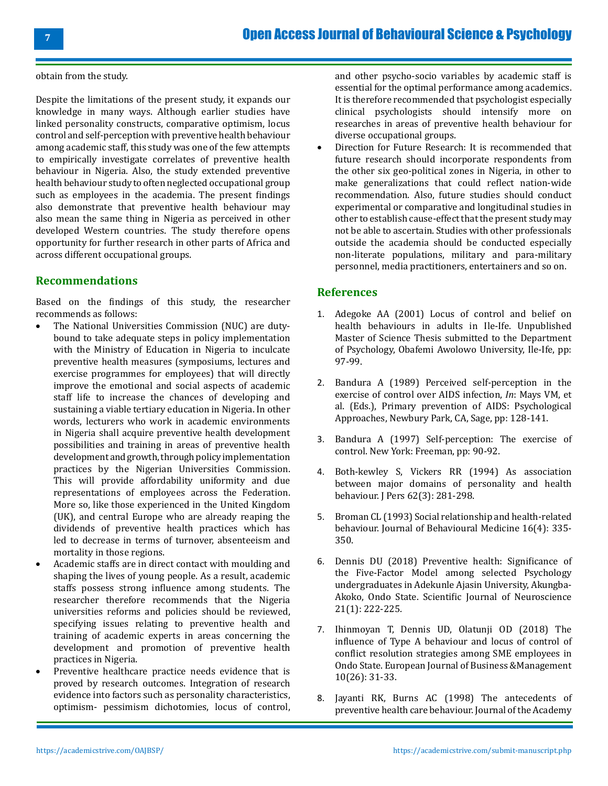obtain from the study.

Despite the limitations of the present study, it expands our knowledge in many ways. Although earlier studies have linked personality constructs, comparative optimism, locus control and self-perception with preventive health behaviour among academic staff, this study was one of the few attempts to empirically investigate correlates of preventive health behaviour in Nigeria. Also, the study extended preventive health behaviour study to often neglected occupational group such as employees in the academia. The present findings also demonstrate that preventive health behaviour may also mean the same thing in Nigeria as perceived in other developed Western countries. The study therefore opens opportunity for further research in other parts of Africa and across different occupational groups.

#### **Recommendations**

Based on the findings of this study, the researcher recommends as follows:

- The National Universities Commission (NUC) are dutybound to take adequate steps in policy implementation with the Ministry of Education in Nigeria to inculcate preventive health measures (symposiums, lectures and exercise programmes for employees) that will directly improve the emotional and social aspects of academic staff life to increase the chances of developing and sustaining a viable tertiary education in Nigeria. In other words, lecturers who work in academic environments in Nigeria shall acquire preventive health development possibilities and training in areas of preventive health development and growth, through policy implementation practices by the Nigerian Universities Commission. This will provide affordability uniformity and due representations of employees across the Federation. More so, like those experienced in the United Kingdom (UK), and central Europe who are already reaping the dividends of preventive health practices which has led to decrease in terms of turnover, absenteeism and mortality in those regions.
- Academic staffs are in direct contact with moulding and shaping the lives of young people. As a result, academic staffs possess strong influence among students. The researcher therefore recommends that the Nigeria universities reforms and policies should be reviewed, specifying issues relating to preventive health and training of academic experts in areas concerning the development and promotion of preventive health practices in Nigeria.
- Preventive healthcare practice needs evidence that is proved by research outcomes. Integration of research evidence into factors such as personality characteristics, optimism- pessimism dichotomies, locus of control,

and other psycho-socio variables by academic staff is essential for the optimal performance among academics. It is therefore recommended that psychologist especially clinical psychologists should intensify more on researches in areas of preventive health behaviour for diverse occupational groups.

• Direction for Future Research: It is recommended that future research should incorporate respondents from the other six geo-political zones in Nigeria, in other to make generalizations that could reflect nation-wide recommendation. Also, future studies should conduct experimental or comparative and longitudinal studies in other to establish cause-effect that the present study may not be able to ascertain. Studies with other professionals outside the academia should be conducted especially non-literate populations, military and para-military personnel, media practitioners, entertainers and so on.

#### **References**

- 1. Adegoke AA (2001) Locus of control and belief on health behaviours in adults in Ile-Ife. Unpublished Master of Science Thesis submitted to the Department of Psychology, Obafemi Awolowo University, Ile-Ife, pp: 97-99.
- 2. Bandura A (1989) Perceived self-perception in the exercise of control over AIDS infection, *In*: Mays VM, et al. (Eds.), Primary prevention of AIDS: Psychological Approaches, Newbury Park, CA, Sage, pp: 128-141.
- 3. Bandura A (1997) Self-perception: The exercise of control. New York: Freeman, pp: 90-92.
- 4. [Both-kewley S, Vickers RR \(1994\) As association](https://pubmed.ncbi.nlm.nih.gov/7965560/) [between major domains of personality and health](https://pubmed.ncbi.nlm.nih.gov/7965560/)  [behaviour. J Pers 62\(3\): 281-298.](https://pubmed.ncbi.nlm.nih.gov/7965560/)
- 5. [Broman CL \(1993\) Social relationship and health-related](https://psycnet.apa.org/record/1994-03002-001) [behaviour. Journal of Behavioural Medicine 16\(4\): 335-](https://psycnet.apa.org/record/1994-03002-001) [350.](https://psycnet.apa.org/record/1994-03002-001)
- 6. Dennis DU (2018) Preventive health: Significance of the Five-Factor Model among selected Psychology undergraduates in Adekunle Ajasin University, Akungba-Akoko, Ondo State. Scientific Journal of Neuroscience 21(1): 222-225.
- 7. [Ihinmoyan T, Dennis UD, Olatunji OD \(2018\) The](https://core.ac.uk/download/pdf/234628557.pdf) [influence of Type A behaviour and locus of control of](https://core.ac.uk/download/pdf/234628557.pdf) [conflict resolution strategies among SME employees in](https://core.ac.uk/download/pdf/234628557.pdf) [Ondo State. European Journal of Business &Management](https://core.ac.uk/download/pdf/234628557.pdf)  [10\(26\): 31-33.](https://core.ac.uk/download/pdf/234628557.pdf)
- 8. [Jayanti RK, Burns AC \(1998\) The antecedents of](https://link.springer.com/article/10.1177/0092070398261002) [preventive health care behaviour. Journal of the Academy](https://link.springer.com/article/10.1177/0092070398261002)